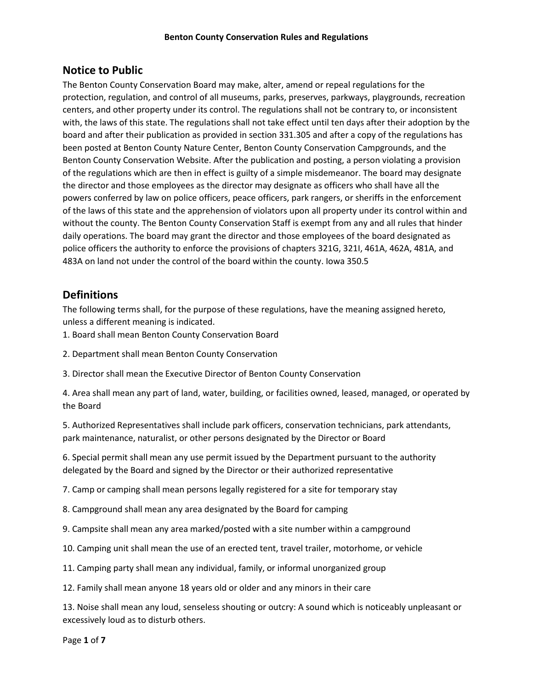## **Notice to Public**

The Benton County Conservation Board may make, alter, amend or repeal regulations for the protection, regulation, and control of all museums, parks, preserves, parkways, playgrounds, recreation centers, and other property under its control. The regulations shall not be contrary to, or inconsistent with, the laws of this state. The regulations shall not take effect until ten days after their adoption by the board and after their publication as provided in section 331.305 and after a copy of the regulations has been posted at Benton County Nature Center, Benton County Conservation Campgrounds, and the Benton County Conservation Website. After the publication and posting, a person violating a provision of the regulations which are then in effect is guilty of a simple misdemeanor. The board may designate the director and those employees as the director may designate as officers who shall have all the powers conferred by law on police officers, peace officers, park rangers, or sheriffs in the enforcement of the laws of this state and the apprehension of violators upon all property under its control within and without the county. The Benton County Conservation Staff is exempt from any and all rules that hinder daily operations. The board may grant the director and those employees of the board designated as police officers the authority to enforce the provisions of chapters 321G, 321I, 461A, 462A, 481A, and 483A on land not under the control of the board within the county. Iowa 350.5

## **Definitions**

The following terms shall, for the purpose of these regulations, have the meaning assigned hereto, unless a different meaning is indicated.

- 1. Board shall mean Benton County Conservation Board
- 2. Department shall mean Benton County Conservation
- 3. Director shall mean the Executive Director of Benton County Conservation

4. Area shall mean any part of land, water, building, or facilities owned, leased, managed, or operated by the Board

5. Authorized Representatives shall include park officers, conservation technicians, park attendants, park maintenance, naturalist, or other persons designated by the Director or Board

6. Special permit shall mean any use permit issued by the Department pursuant to the authority delegated by the Board and signed by the Director or their authorized representative

7. Camp or camping shall mean persons legally registered for a site for temporary stay

- 8. Campground shall mean any area designated by the Board for camping
- 9. Campsite shall mean any area marked/posted with a site number within a campground
- 10. Camping unit shall mean the use of an erected tent, travel trailer, motorhome, or vehicle
- 11. Camping party shall mean any individual, family, or informal unorganized group

12. Family shall mean anyone 18 years old or older and any minors in their care

13. Noise shall mean any loud, senseless shouting or outcry: A sound which is noticeably unpleasant or excessively loud as to disturb others.

Page **1** of **7**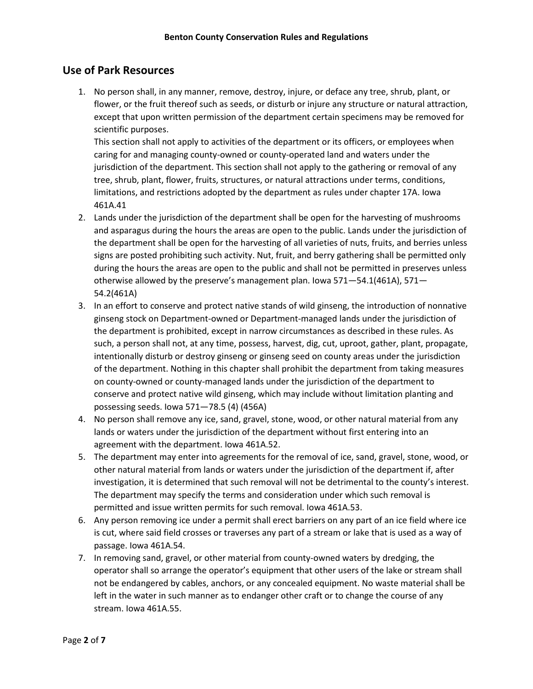## **Use of Park Resources**

1. No person shall, in any manner, remove, destroy, injure, or deface any tree, shrub, plant, or flower, or the fruit thereof such as seeds, or disturb or injure any structure or natural attraction, except that upon written permission of the department certain specimens may be removed for scientific purposes.

This section shall not apply to activities of the department or its officers, or employees when caring for and managing county-owned or county-operated land and waters under the jurisdiction of the department. This section shall not apply to the gathering or removal of any tree, shrub, plant, flower, fruits, structures, or natural attractions under terms, conditions, limitations, and restrictions adopted by the department as rules under chapter 17A. Iowa 461A.41

- 2. Lands under the jurisdiction of the department shall be open for the harvesting of mushrooms and asparagus during the hours the areas are open to the public. Lands under the jurisdiction of the department shall be open for the harvesting of all varieties of nuts, fruits, and berries unless signs are posted prohibiting such activity. Nut, fruit, and berry gathering shall be permitted only during the hours the areas are open to the public and shall not be permitted in preserves unless otherwise allowed by the preserve's management plan. Iowa 571—54.1(461A), 571— 54.2(461A)
- 3. In an effort to conserve and protect native stands of wild ginseng, the introduction of nonnative ginseng stock on Department-owned or Department-managed lands under the jurisdiction of the department is prohibited, except in narrow circumstances as described in these rules. As such, a person shall not, at any time, possess, harvest, dig, cut, uproot, gather, plant, propagate, intentionally disturb or destroy ginseng or ginseng seed on county areas under the jurisdiction of the department. Nothing in this chapter shall prohibit the department from taking measures on county-owned or county-managed lands under the jurisdiction of the department to conserve and protect native wild ginseng, which may include without limitation planting and possessing seeds. Iowa 571—78.5 (4) (456A)
- 4. No person shall remove any ice, sand, gravel, stone, wood, or other natural material from any lands or waters under the jurisdiction of the department without first entering into an agreement with the department. Iowa 461A.52.
- 5. The department may enter into agreements for the removal of ice, sand, gravel, stone, wood, or other natural material from lands or waters under the jurisdiction of the department if, after investigation, it is determined that such removal will not be detrimental to the county's interest. The department may specify the terms and consideration under which such removal is permitted and issue written permits for such removal. Iowa 461A.53.
- 6. Any person removing ice under a permit shall erect barriers on any part of an ice field where ice is cut, where said field crosses or traverses any part of a stream or lake that is used as a way of passage. Iowa 461A.54.
- 7. In removing sand, gravel, or other material from county-owned waters by dredging, the operator shall so arrange the operator's equipment that other users of the lake or stream shall not be endangered by cables, anchors, or any concealed equipment. No waste material shall be left in the water in such manner as to endanger other craft or to change the course of any stream. Iowa 461A.55.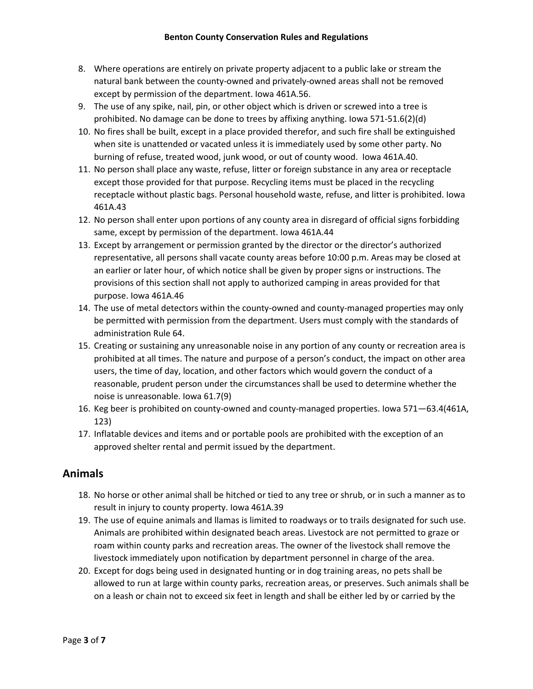- 8. Where operations are entirely on private property adjacent to a public lake or stream the natural bank between the county-owned and privately-owned areas shall not be removed except by permission of the department. Iowa 461A.56.
- 9. The use of any spike, nail, pin, or other object which is driven or screwed into a tree is prohibited. No damage can be done to trees by affixing anything. Iowa 571-51.6(2)(d)
- 10. No fires shall be built, except in a place provided therefor, and such fire shall be extinguished when site is unattended or vacated unless it is immediately used by some other party. No burning of refuse, treated wood, junk wood, or out of county wood. Iowa 461A.40.
- 11. No person shall place any waste, refuse, litter or foreign substance in any area or receptacle except those provided for that purpose. Recycling items must be placed in the recycling receptacle without plastic bags. Personal household waste, refuse, and litter is prohibited. Iowa 461A.43
- 12. No person shall enter upon portions of any county area in disregard of official signs forbidding same, except by permission of the department. Iowa 461A.44
- 13. Except by arrangement or permission granted by the director or the director's authorized representative, all persons shall vacate county areas before 10:00 p.m. Areas may be closed at an earlier or later hour, of which notice shall be given by proper signs or instructions. The provisions of this section shall not apply to authorized camping in areas provided for that purpose. Iowa 461A.46
- 14. The use of metal detectors within the county-owned and county-managed properties may only be permitted with permission from the department. Users must comply with the standards of administration Rule 64.
- 15. Creating or sustaining any unreasonable noise in any portion of any county or recreation area is prohibited at all times. The nature and purpose of a person's conduct, the impact on other area users, the time of day, location, and other factors which would govern the conduct of a reasonable, prudent person under the circumstances shall be used to determine whether the noise is unreasonable. Iowa 61.7(9)
- 16. Keg beer is prohibited on county-owned and county-managed properties. Iowa 571—63.4(461A, 123)
- 17. Inflatable devices and items and or portable pools are prohibited with the exception of an approved shelter rental and permit issued by the department.

# **Animals**

- 18. No horse or other animal shall be hitched or tied to any tree or shrub, or in such a manner as to result in injury to county property. Iowa 461A.39
- 19. The use of equine animals and llamas is limited to roadways or to trails designated for such use. Animals are prohibited within designated beach areas. Livestock are not permitted to graze or roam within county parks and recreation areas. The owner of the livestock shall remove the livestock immediately upon notification by department personnel in charge of the area.
- 20. Except for dogs being used in designated hunting or in dog training areas, no pets shall be allowed to run at large within county parks, recreation areas, or preserves. Such animals shall be on a leash or chain not to exceed six feet in length and shall be either led by or carried by the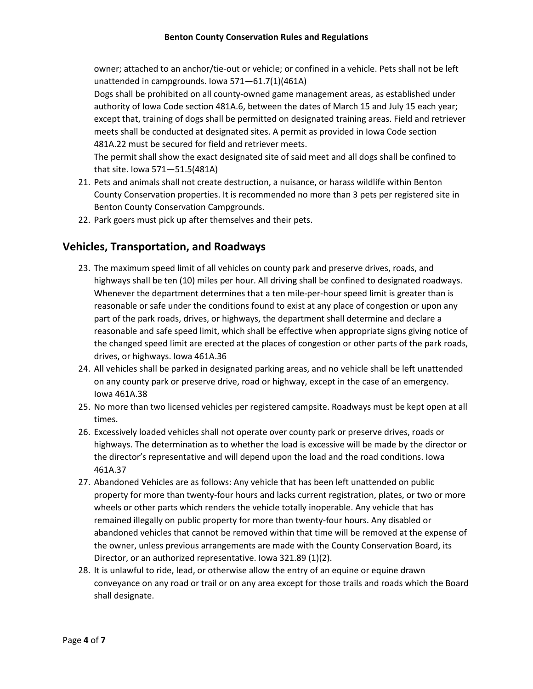owner; attached to an anchor/tie-out or vehicle; or confined in a vehicle. Pets shall not be left unattended in campgrounds. Iowa 571—61.7(1)(461A)

Dogs shall be prohibited on all county-owned game management areas, as established under authority of Iowa Code section 481A.6, between the dates of March 15 and July 15 each year; except that, training of dogs shall be permitted on designated training areas. Field and retriever meets shall be conducted at designated sites. A permit as provided in Iowa Code section 481A.22 must be secured for field and retriever meets.

The permit shall show the exact designated site of said meet and all dogs shall be confined to that site. Iowa 571—51.5(481A)

- 21. Pets and animals shall not create destruction, a nuisance, or harass wildlife within Benton County Conservation properties. It is recommended no more than 3 pets per registered site in Benton County Conservation Campgrounds.
- 22. Park goers must pick up after themselves and their pets.

## **Vehicles, Transportation, and Roadways**

- 23. The maximum speed limit of all vehicles on county park and preserve drives, roads, and highways shall be ten (10) miles per hour. All driving shall be confined to designated roadways. Whenever the department determines that a ten mile-per-hour speed limit is greater than is reasonable or safe under the conditions found to exist at any place of congestion or upon any part of the park roads, drives, or highways, the department shall determine and declare a reasonable and safe speed limit, which shall be effective when appropriate signs giving notice of the changed speed limit are erected at the places of congestion or other parts of the park roads, drives, or highways. Iowa 461A.36
- 24. All vehicles shall be parked in designated parking areas, and no vehicle shall be left unattended on any county park or preserve drive, road or highway, except in the case of an emergency. Iowa 461A.38
- 25. No more than two licensed vehicles per registered campsite. Roadways must be kept open at all times.
- 26. Excessively loaded vehicles shall not operate over county park or preserve drives, roads or highways. The determination as to whether the load is excessive will be made by the director or the director's representative and will depend upon the load and the road conditions. Iowa 461A.37
- 27. Abandoned Vehicles are as follows: Any vehicle that has been left unattended on public property for more than twenty-four hours and lacks current registration, plates, or two or more wheels or other parts which renders the vehicle totally inoperable. Any vehicle that has remained illegally on public property for more than twenty-four hours. Any disabled or abandoned vehicles that cannot be removed within that time will be removed at the expense of the owner, unless previous arrangements are made with the County Conservation Board, its Director, or an authorized representative. Iowa 321.89 (1)(2).
- 28. It is unlawful to ride, lead, or otherwise allow the entry of an equine or equine drawn conveyance on any road or trail or on any area except for those trails and roads which the Board shall designate.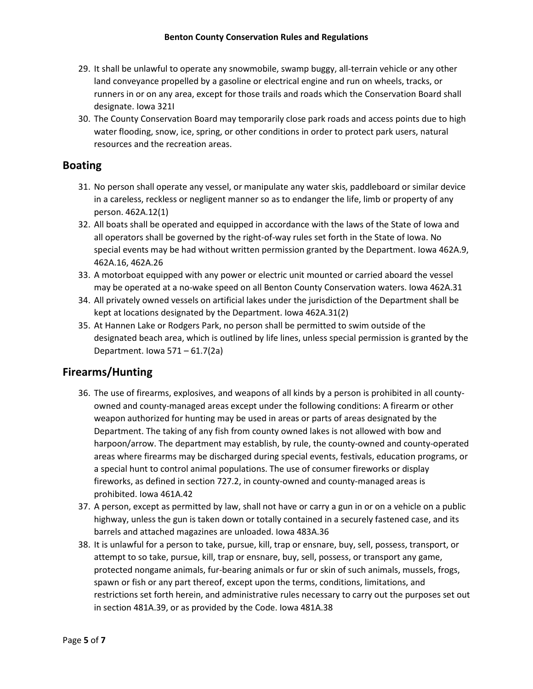- 29. It shall be unlawful to operate any snowmobile, swamp buggy, all-terrain vehicle or any other land conveyance propelled by a gasoline or electrical engine and run on wheels, tracks, or runners in or on any area, except for those trails and roads which the Conservation Board shall designate. Iowa 321I
- 30. The County Conservation Board may temporarily close park roads and access points due to high water flooding, snow, ice, spring, or other conditions in order to protect park users, natural resources and the recreation areas.

#### **Boating**

- 31. No person shall operate any vessel, or manipulate any water skis, paddleboard or similar device in a careless, reckless or negligent manner so as to endanger the life, limb or property of any person. 462A.12(1)
- 32. All boats shall be operated and equipped in accordance with the laws of the State of Iowa and all operators shall be governed by the right-of-way rules set forth in the State of Iowa. No special events may be had without written permission granted by the Department. Iowa 462A.9, 462A.16, 462A.26
- 33. A motorboat equipped with any power or electric unit mounted or carried aboard the vessel may be operated at a no-wake speed on all Benton County Conservation waters. Iowa 462A.31
- 34. All privately owned vessels on artificial lakes under the jurisdiction of the Department shall be kept at locations designated by the Department. Iowa 462A.31(2)
- 35. At Hannen Lake or Rodgers Park, no person shall be permitted to swim outside of the designated beach area, which is outlined by life lines, unless special permission is granted by the Department. Iowa 571 – 61.7(2a)

### **Firearms/Hunting**

- 36. The use of firearms, explosives, and weapons of all kinds by a person is prohibited in all countyowned and county-managed areas except under the following conditions: A firearm or other weapon authorized for hunting may be used in areas or parts of areas designated by the Department. The taking of any fish from county owned lakes is not allowed with bow and harpoon/arrow. The department may establish, by rule, the county-owned and county-operated areas where firearms may be discharged during special events, festivals, education programs, or a special hunt to control animal populations. The use of consumer fireworks or display fireworks, as defined in section 727.2, in county-owned and county-managed areas is prohibited. Iowa 461A.42
- 37. A person, except as permitted by law, shall not have or carry a gun in or on a vehicle on a public highway, unless the gun is taken down or totally contained in a securely fastened case, and its barrels and attached magazines are unloaded. Iowa 483A.36
- 38. It is unlawful for a person to take, pursue, kill, trap or ensnare, buy, sell, possess, transport, or attempt to so take, pursue, kill, trap or ensnare, buy, sell, possess, or transport any game, protected nongame animals, fur-bearing animals or fur or skin of such animals, mussels, frogs, spawn or fish or any part thereof, except upon the terms, conditions, limitations, and restrictions set forth herein, and administrative rules necessary to carry out the purposes set out in section 481A.39, or as provided by the Code. Iowa 481A.38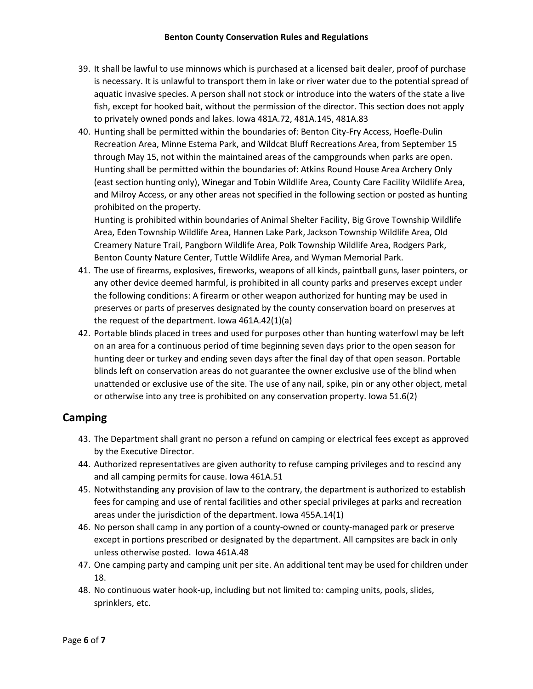- 39. It shall be lawful to use minnows which is purchased at a licensed bait dealer, proof of purchase is necessary. It is unlawful to transport them in lake or river water due to the potential spread of aquatic invasive species. A person shall not stock or introduce into the waters of the state a live fish, except for hooked bait, without the permission of the director. This section does not apply to privately owned ponds and lakes. Iowa 481A.72, 481A.145, 481A.83
- 40. Hunting shall be permitted within the boundaries of: Benton City-Fry Access, Hoefle-Dulin Recreation Area, Minne Estema Park, and Wildcat Bluff Recreations Area, from September 15 through May 15, not within the maintained areas of the campgrounds when parks are open. Hunting shall be permitted within the boundaries of: Atkins Round House Area Archery Only (east section hunting only), Winegar and Tobin Wildlife Area, County Care Facility Wildlife Area, and Milroy Access, or any other areas not specified in the following section or posted as hunting prohibited on the property.

Hunting is prohibited within boundaries of Animal Shelter Facility, Big Grove Township Wildlife Area, Eden Township Wildlife Area, Hannen Lake Park, Jackson Township Wildlife Area, Old Creamery Nature Trail, Pangborn Wildlife Area, Polk Township Wildlife Area, Rodgers Park, Benton County Nature Center, Tuttle Wildlife Area, and Wyman Memorial Park.

- 41. The use of firearms, explosives, fireworks, weapons of all kinds, paintball guns, laser pointers, or any other device deemed harmful, is prohibited in all county parks and preserves except under the following conditions: A firearm or other weapon authorized for hunting may be used in preserves or parts of preserves designated by the county conservation board on preserves at the request of the department. Iowa 461A.42(1)(a)
- 42. Portable blinds placed in trees and used for purposes other than hunting waterfowl may be left on an area for a continuous period of time beginning seven days prior to the open season for hunting deer or turkey and ending seven days after the final day of that open season. Portable blinds left on conservation areas do not guarantee the owner exclusive use of the blind when unattended or exclusive use of the site. The use of any nail, spike, pin or any other object, metal or otherwise into any tree is prohibited on any conservation property. Iowa 51.6(2)

# **Camping**

- 43. The Department shall grant no person a refund on camping or electrical fees except as approved by the Executive Director.
- 44. Authorized representatives are given authority to refuse camping privileges and to rescind any and all camping permits for cause. Iowa 461A.51
- 45. Notwithstanding any provision of law to the contrary, the department is authorized to establish fees for camping and use of rental facilities and other special privileges at parks and recreation areas under the jurisdiction of the department. Iowa 455A.14(1)
- 46. No person shall camp in any portion of a county-owned or county-managed park or preserve except in portions prescribed or designated by the department. All campsites are back in only unless otherwise posted. Iowa 461A.48
- 47. One camping party and camping unit per site. An additional tent may be used for children under 18.
- 48. No continuous water hook-up, including but not limited to: camping units, pools, slides, sprinklers, etc.